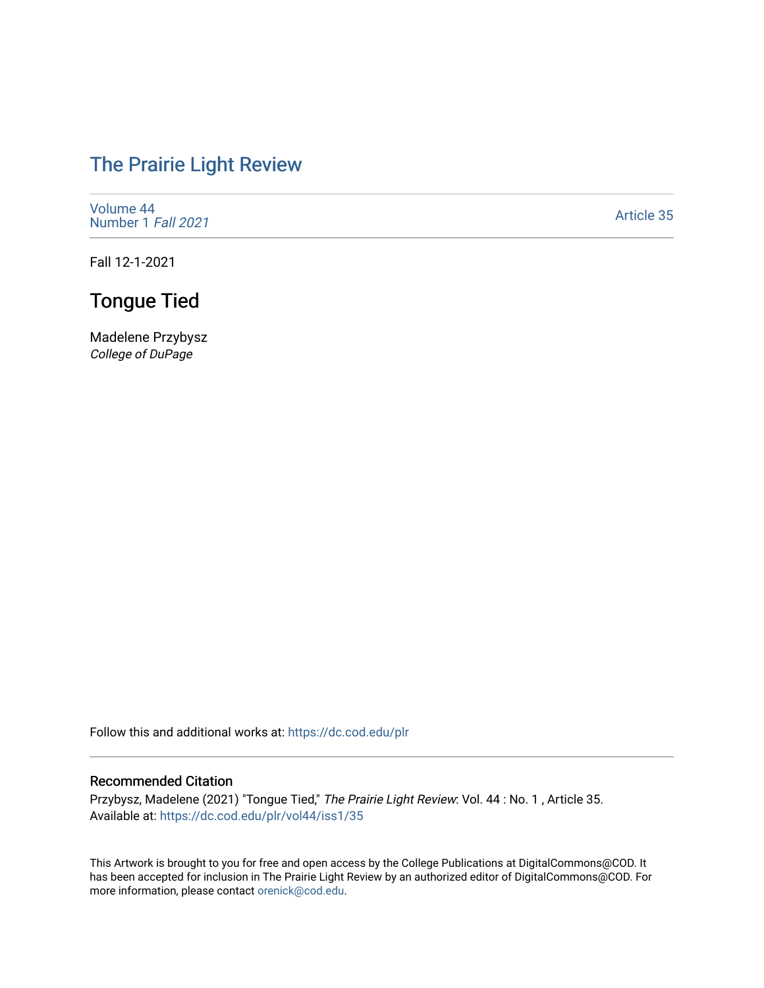## [The Prairie Light Review](https://dc.cod.edu/plr)

[Volume 44](https://dc.cod.edu/plr/vol44) [Number 1](https://dc.cod.edu/plr/vol44/iss1) Fall 2021

[Article 35](https://dc.cod.edu/plr/vol44/iss1/35) 

Fall 12-1-2021

## Tongue Tied

Madelene Przybysz College of DuPage

Follow this and additional works at: [https://dc.cod.edu/plr](https://dc.cod.edu/plr?utm_source=dc.cod.edu%2Fplr%2Fvol44%2Fiss1%2F35&utm_medium=PDF&utm_campaign=PDFCoverPages) 

## Recommended Citation

Przybysz, Madelene (2021) "Tongue Tied," The Prairie Light Review: Vol. 44 : No. 1 , Article 35. Available at: [https://dc.cod.edu/plr/vol44/iss1/35](https://dc.cod.edu/plr/vol44/iss1/35?utm_source=dc.cod.edu%2Fplr%2Fvol44%2Fiss1%2F35&utm_medium=PDF&utm_campaign=PDFCoverPages)

This Artwork is brought to you for free and open access by the College Publications at DigitalCommons@COD. It has been accepted for inclusion in The Prairie Light Review by an authorized editor of DigitalCommons@COD. For more information, please contact [orenick@cod.edu.](mailto:orenick@cod.edu)